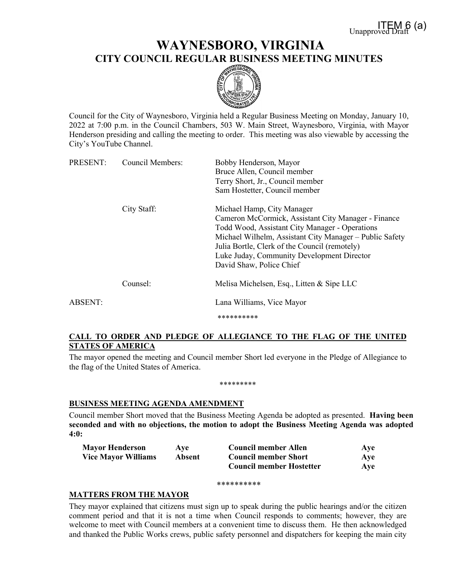# **WAYNESBORO, VIRGINIA CITY COUNCIL REGULAR BUSINESS MEETING MINUTES**



Council for the City of Waynesboro, Virginia held a Regular Business Meeting on Monday, January 10, 2022 at 7:00 p.m. in the Council Chambers, 503 W. Main Street, Waynesboro, Virginia, with Mayor Henderson presiding and calling the meeting to order. This meeting was also viewable by accessing the City's YouTube Channel.

| PRESENT: | <b>Council Members:</b> | Bobby Henderson, Mayor<br>Bruce Allen, Council member<br>Terry Short, Jr., Council member<br>Sam Hostetter, Council member                                                                                                                                                                                                |  |
|----------|-------------------------|---------------------------------------------------------------------------------------------------------------------------------------------------------------------------------------------------------------------------------------------------------------------------------------------------------------------------|--|
|          | City Staff:             | Michael Hamp, City Manager<br>Cameron McCormick, Assistant City Manager - Finance<br>Todd Wood, Assistant City Manager - Operations<br>Michael Wilhelm, Assistant City Manager – Public Safety<br>Julia Bortle, Clerk of the Council (remotely)<br>Luke Juday, Community Development Director<br>David Shaw, Police Chief |  |
|          | Counsel:                | Melisa Michelsen, Esq., Litten & Sipe LLC                                                                                                                                                                                                                                                                                 |  |
| ABSENT:  |                         | Lana Williams, Vice Mayor<br>**********                                                                                                                                                                                                                                                                                   |  |

# **CALL TO ORDER AND PLEDGE OF ALLEGIANCE TO THE FLAG OF THE UNITED STATES OF AMERICA**

The mayor opened the meeting and Council member Short led everyone in the Pledge of Allegiance to the flag of the United States of America.

#### \*\*\*\*\*\*\*\*\*

# **BUSINESS MEETING AGENDA AMENDMENT**

Council member Short moved that the Business Meeting Agenda be adopted as presented. **Having been seconded and with no objections, the motion to adopt the Business Meeting Agenda was adopted 4:0:**

| <b>Mayor Henderson</b>     | Ave    | <b>Council member Allen</b>     | Ave |
|----------------------------|--------|---------------------------------|-----|
| <b>Vice Mayor Williams</b> | Absent | <b>Council member Short</b>     | Ave |
|                            |        | <b>Council member Hostetter</b> | Aye |

#### \*\*\*\*\*\*\*\*\*\*

# **MATTERS FROM THE MAYOR**

They mayor explained that citizens must sign up to speak during the public hearings and/or the citizen comment period and that it is not a time when Council responds to comments; however, they are welcome to meet with Council members at a convenient time to discuss them. He then acknowledged and thanked the Public Works crews, public safety personnel and dispatchers for keeping the main city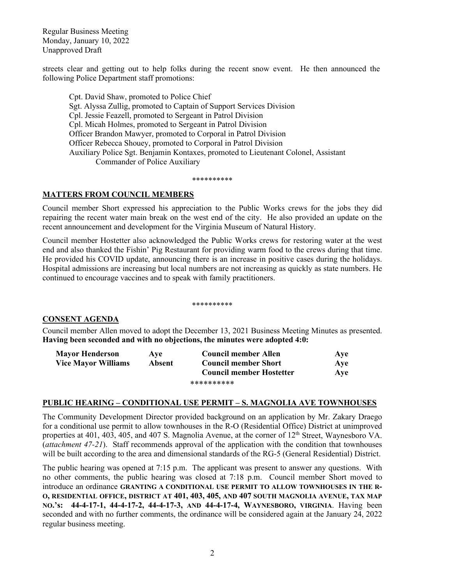Regular Business Meeting Monday, January 10, 2022 Unapproved Draft

streets clear and getting out to help folks during the recent snow event. He then announced the following Police Department staff promotions:

Cpt. David Shaw, promoted to Police Chief Sgt. Alyssa Zullig, promoted to Captain of Support Services Division Cpl. Jessie Feazell, promoted to Sergeant in Patrol Division Cpl. Micah Holmes, promoted to Sergeant in Patrol Division Officer Brandon Mawyer, promoted to Corporal in Patrol Division Officer Rebecca Shouey, promoted to Corporal in Patrol Division Auxiliary Police Sgt. Benjamin Kontaxes, promoted to Lieutenant Colonel, Assistant Commander of Police Auxiliary

#### \*\*\*\*\*\*\*\*\*\*

# **MATTERS FROM COUNCIL MEMBERS**

Council member Short expressed his appreciation to the Public Works crews for the jobs they did repairing the recent water main break on the west end of the city. He also provided an update on the recent announcement and development for the Virginia Museum of Natural History.

Council member Hostetter also acknowledged the Public Works crews for restoring water at the west end and also thanked the Fishin' Pig Restaurant for providing warm food to the crews during that time. He provided his COVID update, announcing there is an increase in positive cases during the holidays. Hospital admissions are increasing but local numbers are not increasing as quickly as state numbers. He continued to encourage vaccines and to speak with family practitioners.

#### \*\*\*\*\*\*\*\*\*\*

# **CONSENT AGENDA**

Council member Allen moved to adopt the December 13, 2021 Business Meeting Minutes as presented. **Having been seconded and with no objections, the minutes were adopted 4:0:**

| <b>Mayor Henderson</b>     | Ave    | Council member Allen            | Ave |
|----------------------------|--------|---------------------------------|-----|
| <b>Vice Mayor Williams</b> | Absent | <b>Council member Short</b>     | Aye |
|                            |        | <b>Council member Hostetter</b> | Ave |
|                            |        | **********                      |     |

### **PUBLIC HEARING – CONDITIONAL USE PERMIT – S. MAGNOLIA AVE TOWNHOUSES**

The Community Development Director provided background on an application by Mr. Zakary Draego for a conditional use permit to allow townhouses in the R-O (Residential Office) District at unimproved properties at 401, 403, 405, and 407 S. Magnolia Avenue, at the corner of  $12<sup>th</sup>$  Street, Waynesboro VA. (*attachment 47-21*). Staff recommends approval of the application with the condition that townhouses will be built according to the area and dimensional standards of the RG-5 (General Residential) District.

The public hearing was opened at 7:15 p.m. The applicant was present to answer any questions. With no other comments, the public hearing was closed at 7:18 p.m. Council member Short moved to introduce an ordinance **GRANTING A CONDITIONAL USE PERMIT TO ALLOW TOWNHOUSES IN THE R-O, RESIDENTIAL OFFICE, DISTRICT AT 401, 403, 405, AND 407 SOUTH MAGNOLIA AVENUE, TAX MAP NO.'s: 44-4-17-1, 44-4-17-2, 44-4-17-3, AND 44-4-17-4, WAYNESBORO, VIRGINIA**. Having been seconded and with no further comments, the ordinance will be considered again at the January 24, 2022 regular business meeting.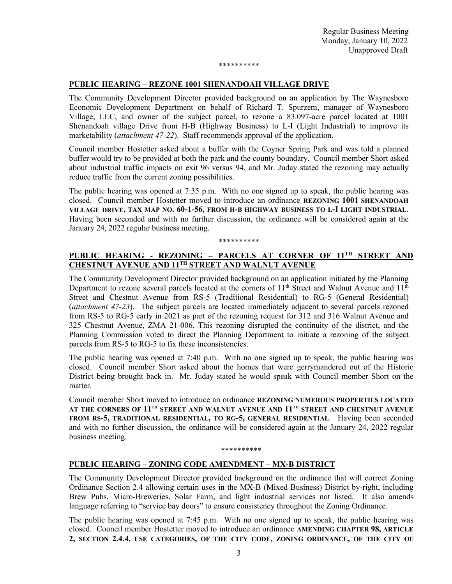\*\*\*\*\*\*\*\*\*\*

# **PUBLIC HEARING – REZONE 1001 SHENANDOAH VILLAGE DRIVE**

The Community Development Director provided background on an application by The Waynesboro Economic Development Department on behalf of Richard T. Spurzem, manager of Waynesboro Village, LLC, and owner of the subject parcel, to rezone a 83.097-acre parcel located at 1001 Shenandoah village Drive from H-B (Highway Business) to L-I (Light Industrial) to improve its marketability (*attachment 47-22*). Staff recommends approval of the application.

Council member Hostetter asked about a buffer with the Coyner Spring Park and was told a planned buffer would try to be provided at both the park and the county boundary. Council member Short asked about industrial traffic impacts on exit 96 versus 94, and Mr. Juday stated the rezoning may actually reduce traffic from the current zoning possibilities.

The public hearing was opened at 7:35 p.m. With no one signed up to speak, the public hearing was closed. Council member Hostetter moved to introduce an ordinance **REZONING 1001 SHENANDOAH VILLAGE DRIVE, TAX MAP NO. 60-1-56, FROM H-B HIGHWAY BUSINESS TO L-I LIGHT INDUSTRIAL**. Having been seconded and with no further discussion, the ordinance will be considered again at the January 24, 2022 regular business meeting.

#### \*\*\*\*\*\*\*\*\*\*

# **PUBLIC HEARING - REZONING – PARCELS AT CORNER OF 11TH STREET AND CHESTNUT AVENUE AND 11TH STREET AND WALNUT AVENUE**

The Community Development Director provided background on an application initiated by the Planning Department to rezone several parcels located at the corners of  $11<sup>th</sup>$  Street and Walnut Avenue and  $11<sup>th</sup>$ Street and Chestnut Avenue from RS-5 (Traditional Residential) to RG-5 (General Residential) (*attachment 47-23*). The subject parcels are located immediately adjacent to several parcels rezoned from RS-5 to RG-5 early in 2021 as part of the rezoning request for 312 and 316 Walnut Avenue and 325 Chestnut Avenue, ZMA 21-006. This rezoning disrupted the continuity of the district, and the Planning Commission voted to direct the Planning Department to initiate a rezoning of the subject parcels from RS-5 to RG-5 to fix these inconsistencies.

The public hearing was opened at 7:40 p.m. With no one signed up to speak, the public hearing was closed. Council member Short asked about the homes that were gerrymandered out of the Historic District being brought back in. Mr. Juday stated he would speak with Council member Short on the matter.

Council member Short moved to introduce an ordinance **REZONING NUMEROUS PROPERTIES LOCATED AT THE CORNERS OF 11TH STREET AND WALNUT AVENUE AND 11TH STREET AND CHESTNUT AVENUE FROM RS-5, TRADITIONAL RESIDENTIAL, TO RG-5, GENERAL RESIDENTIAL**. Having been seconded and with no further discussion, the ordinance will be considered again at the January 24, 2022 regular business meeting.

#### \*\*\*\*\*\*\*\*\*\*

# **PUBLIC HEARING – ZONING CODE AMENDMENT – MX-B DISTRICT**

The Community Development Director provided background on the ordinance that will correct Zoning Ordinance Section 2.4 allowing certain uses in the MX-B (Mixed Business) District by-right, including Brew Pubs, Micro-Breweries, Solar Farm, and light industrial services not listed. It also amends language referring to "service bay doors" to ensure consistency throughout the Zoning Ordinance.

The public hearing was opened at 7:45 p.m. With no one signed up to speak, the public hearing was closed. Council member Hostetter moved to introduce an ordinance **AMENDING CHAPTER 98, ARTICLE 2, SECTION 2.4.4, USE CATEGORIES, OF THE CITY CODE, ZONING ORDINANCE, OF THE CITY OF**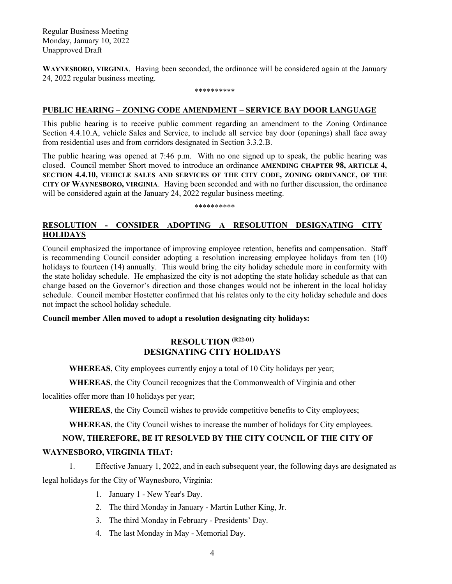Regular Business Meeting Monday, January 10, 2022 Unapproved Draft

**WAYNESBORO, VIRGINIA**. Having been seconded, the ordinance will be considered again at the January 24, 2022 regular business meeting.

#### \*\*\*\*\*\*\*\*\*\*

### **PUBLIC HEARING – ZONING CODE AMENDMENT – SERVICE BAY DOOR LANGUAGE**

This public hearing is to receive public comment regarding an amendment to the Zoning Ordinance Section 4.4.10.A, vehicle Sales and Service, to include all service bay door (openings) shall face away from residential uses and from corridors designated in Section 3.3.2.B.

The public hearing was opened at 7:46 p.m. With no one signed up to speak, the public hearing was closed. Council member Short moved to introduce an ordinance **AMENDING CHAPTER 98, ARTICLE 4, SECTION 4.4.10, VEHICLE SALES AND SERVICES OF THE CITY CODE, ZONING ORDINANCE, OF THE CITY OF WAYNESBORO, VIRGINIA**. Having been seconded and with no further discussion, the ordinance will be considered again at the January 24, 2022 regular business meeting.

### \*\*\*\*\*\*\*\*\*\*

# **RESOLUTION - CONSIDER ADOPTING A RESOLUTION DESIGNATING CITY HOLIDAYS**

Council emphasized the importance of improving employee retention, benefits and compensation. Staff is recommending Council consider adopting a resolution increasing employee holidays from ten (10) holidays to fourteen (14) annually. This would bring the city holiday schedule more in conformity with the state holiday schedule. He emphasized the city is not adopting the state holiday schedule as that can change based on the Governor's direction and those changes would not be inherent in the local holiday schedule. Council member Hostetter confirmed that his relates only to the city holiday schedule and does not impact the school holiday schedule.

**Council member Allen moved to adopt a resolution designating city holidays:**

# **RESOLUTION (R22-01) DESIGNATING CITY HOLIDAYS**

**WHEREAS**, City employees currently enjoy a total of 10 City holidays per year;

**WHEREAS**, the City Council recognizes that the Commonwealth of Virginia and other

localities offer more than 10 holidays per year;

**WHEREAS**, the City Council wishes to provide competitive benefits to City employees;

**WHEREAS**, the City Council wishes to increase the number of holidays for City employees.

# **NOW, THEREFORE, BE IT RESOLVED BY THE CITY COUNCIL OF THE CITY OF**

# **WAYNESBORO, VIRGINIA THAT:**

- 1. Effective January 1, 2022, and in each subsequent year, the following days are designated as legal holidays for the City of Waynesboro, Virginia:
	- 1. January 1 New Year's Day.
	- 2. The third Monday in January Martin Luther King, Jr.
	- 3. The third Monday in February Presidents' Day.
	- 4. The last Monday in May Memorial Day.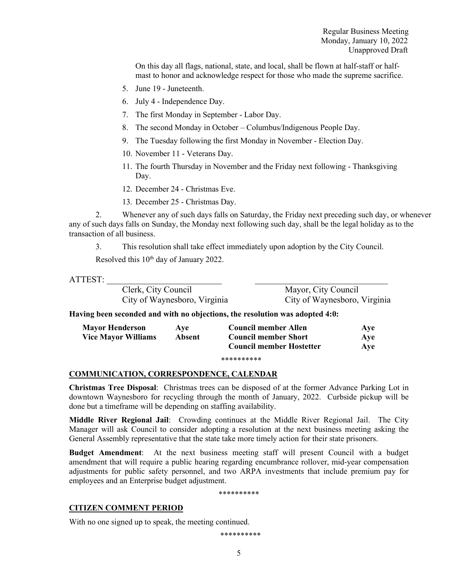On this day all flags, national, state, and local, shall be flown at half-staff or halfmast to honor and acknowledge respect for those who made the supreme sacrifice.

- 5. June 19 Juneteenth.
- 6. July 4 Independence Day.
- 7. The first Monday in September Labor Day.
- 8. The second Monday in October Columbus/Indigenous People Day.
- 9. The Tuesday following the first Monday in November Election Day.
- 10. November 11 Veterans Day.
- 11. The fourth Thursday in November and the Friday next following Thanksgiving Day.
- 12. December 24 Christmas Eve.
- 13. December 25 Christmas Day.

2. Whenever any of such days falls on Saturday, the Friday next preceding such day, or whenever any of such days falls on Sunday, the Monday next following such day, shall be the legal holiday as to the transaction of all business.

3. This resolution shall take effect immediately upon adoption by the City Council.

Resolved this 10<sup>th</sup> day of January 2022.

| Clerk, City Council          | Mayor, City Council          |
|------------------------------|------------------------------|
| City of Waynesboro, Virginia | City of Waynesboro, Virginia |
|                              |                              |

**Having been seconded and with no objections, the resolution was adopted 4:0:**

| <b>Mayor Henderson</b>     | Ave    | <b>Council member Allen</b>     | Aye |
|----------------------------|--------|---------------------------------|-----|
| <b>Vice Mayor Williams</b> | Absent | <b>Council member Short</b>     | Ave |
|                            |        | <b>Council member Hostetter</b> | Ave |

#### \*\*\*\*\*\*\*\*\*\*

### **COMMUNICATION, CORRESPONDENCE, CALENDAR**

**Christmas Tree Disposal**: Christmas trees can be disposed of at the former Advance Parking Lot in downtown Waynesboro for recycling through the month of January, 2022. Curbside pickup will be done but a timeframe will be depending on staffing availability.

**Middle River Regional Jail**: Crowding continues at the Middle River Regional Jail. The City Manager will ask Council to consider adopting a resolution at the next business meeting asking the General Assembly representative that the state take more timely action for their state prisoners.

**Budget Amendment**: At the next business meeting staff will present Council with a budget amendment that will require a public hearing regarding encumbrance rollover, mid-year compensation adjustments for public safety personnel, and two ARPA investments that include premium pay for employees and an Enterprise budget adjustment.

\*\*\*\*\*\*\*\*\*\*

# **CITIZEN COMMENT PERIOD**

With no one signed up to speak, the meeting continued.

\*\*\*\*\*\*\*\*\*\*